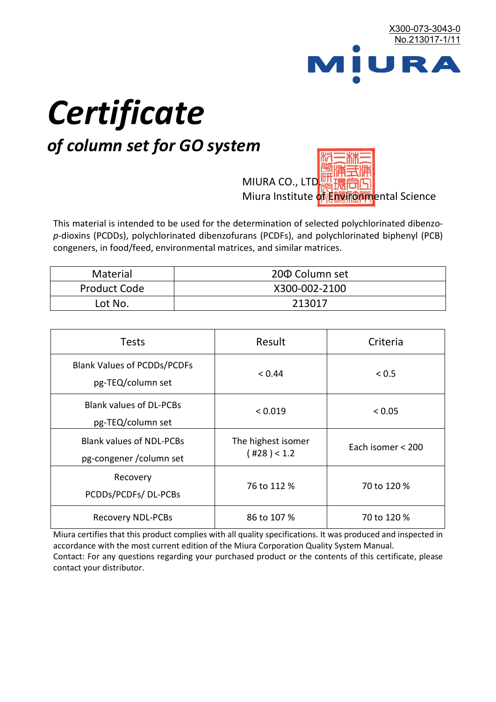

# *Certificate*

## *of column set for GO system*

MIURA CO., LTD. Miura Institute of 正版而解ental Science

This material is intended to be used for the determination of selected polychlorinated dibenzo*p*-dioxins (PCDDs), polychlorinated dibenzofurans (PCDFs), and polychlorinated biphenyl (PCB) congeners, in food/feed, environmental matrices, and similar matrices.

| <b>Material</b>     | 200 Column set |
|---------------------|----------------|
| <b>Product Code</b> | X300-002-2100  |
| Lot No.             | 213017         |

| <b>Tests</b>                                                | Result                                                 | Criteria    |  |
|-------------------------------------------------------------|--------------------------------------------------------|-------------|--|
| <b>Blank Values of PCDDs/PCDFs</b><br>pg-TEQ/column set     | < 0.44                                                 | < 0.5       |  |
| <b>Blank values of DL-PCBs</b><br>pg-TEQ/column set         | < 0.019                                                | < 0.05      |  |
| <b>Blank values of NDL-PCBs</b><br>pg-congener / column set | The highest isomer<br>Each isomer < 200<br>(428) < 1.2 |             |  |
| Recovery<br>PCDDs/PCDFs/DL-PCBs                             | 76 to 112 %                                            | 70 to 120 % |  |
| <b>Recovery NDL-PCBs</b>                                    | 86 to 107 %                                            | 70 to 120 % |  |

Miura certifies that this product complies with all quality specifications. It was produced and inspected in accordance with the most current edition of the Miura Corporation Quality System Manual. Contact: For any questions regarding your purchased product or the contents of this certificate, please contact your distributor.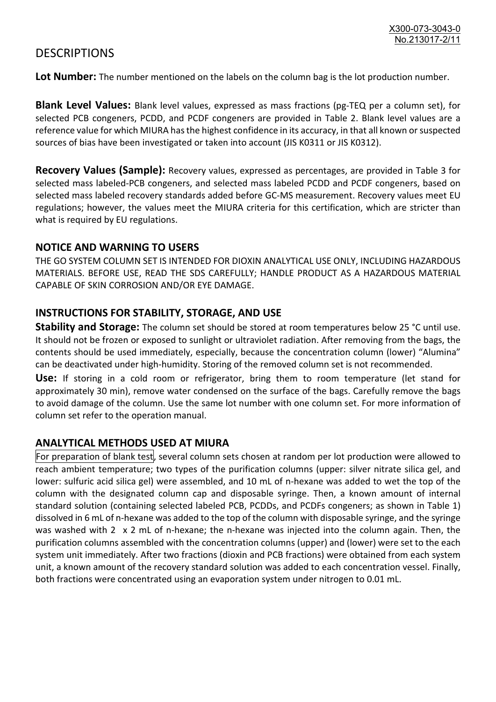### **DESCRIPTIONS**

**Lot Number:** The number mentioned on the labels on the column bag is the lot production number.

**Blank Level Values:** Blank level values, expressed as mass fractions (pg-TEQ per a column set), for selected PCB congeners, PCDD, and PCDF congeners are provided in Table 2. Blank level values are a reference value for which MIURA has the highest confidence in its accuracy, in that all known or suspected sources of bias have been investigated or taken into account (JIS K0311 or JIS K0312).

**Recovery Values (Sample):** Recovery values, expressed as percentages, are provided in Table 3 for selected mass labeled-PCB congeners, and selected mass labeled PCDD and PCDF congeners, based on selected mass labeled recovery standards added before GC-MS measurement. Recovery values meet EU regulations; however, the values meet the MIURA criteria for this certification, which are stricter than what is required by EU regulations.

#### **NOTICE AND WARNING TO USERS**

THE GO SYSTEM COLUMN SET IS INTENDED FOR DIOXIN ANALYTICAL USE ONLY, INCLUDING HAZARDOUS MATERIALS. BEFORE USE, READ THE SDS CAREFULLY; HANDLE PRODUCT AS A HAZARDOUS MATERIAL CAPABLE OF SKIN CORROSION AND/OR EYE DAMAGE.

#### **INSTRUCTIONS FOR STABILITY, STORAGE, AND USE**

**Stability and Storage:** The column set should be stored at room temperatures below 25 °C until use. It should not be frozen or exposed to sunlight or ultraviolet radiation. After removing from the bags, the contents should be used immediately, especially, because the concentration column (lower) "Alumina" can be deactivated under high-humidity. Storing of the removed column set is not recommended.

**Use:** If storing in a cold room or refrigerator, bring them to room temperature (let stand for approximately 30 min), remove water condensed on the surface of the bags. Carefully remove the bags to avoid damage of the column. Use the same lot number with one column set. For more information of column set refer to the operation manual.

#### **ANALYTICAL METHODS USED AT MIURA**

For preparation of blank test, several column sets chosen at random per lot production were allowed to reach ambient temperature; two types of the purification columns (upper: silver nitrate silica gel, and lower: sulfuric acid silica gel) were assembled, and 10 mL of n-hexane was added to wet the top of the column with the designated column cap and disposable syringe. Then, a known amount of internal standard solution (containing selected labeled PCB, PCDDs, and PCDFs congeners; as shown in Table 1) dissolved in 6 mL of n-hexane was added to the top of the column with disposable syringe, and the syringe was washed with 2 x 2 mL of n-hexane; the n-hexane was injected into the column again. Then, the purification columns assembled with the concentration columns (upper) and (lower) were set to the each system unit immediately. After two fractions (dioxin and PCB fractions) were obtained from each system unit, a known amount of the recovery standard solution was added to each concentration vessel. Finally, both fractions were concentrated using an evaporation system under nitrogen to 0.01 mL.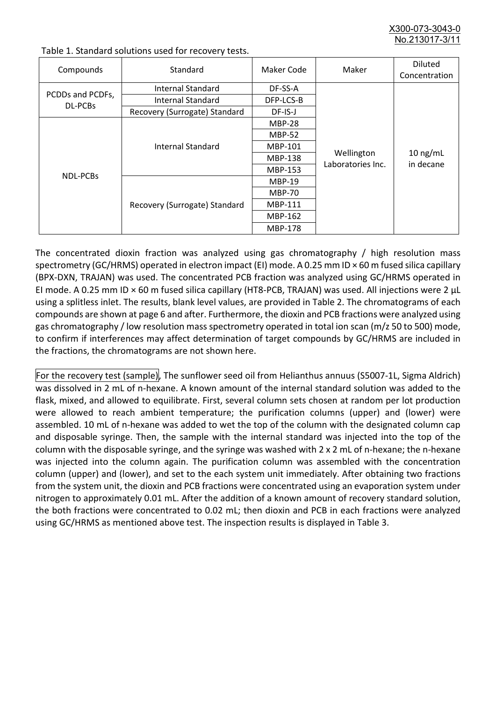X300-073-3043-0 No.213017-3/11

| Compounds                          | Standard                              | Maker Code     | Maker                           | <b>Diluted</b><br>Concentration |
|------------------------------------|---------------------------------------|----------------|---------------------------------|---------------------------------|
| PCDDs and PCDFs,<br><b>DL-PCBs</b> | Internal Standard                     | DF-SS-A        |                                 |                                 |
|                                    | <b>Internal Standard</b><br>DFP-LCS-B |                |                                 |                                 |
|                                    | Recovery (Surrogate) Standard         | DF-IS-J        |                                 |                                 |
| <b>NDL-PCBs</b>                    | Internal Standard                     | <b>MBP-28</b>  | Wellington<br>Laboratories Inc. | $10$ ng/mL<br>in decane         |
|                                    |                                       | <b>MBP-52</b>  |                                 |                                 |
|                                    |                                       | MBP-101        |                                 |                                 |
|                                    |                                       | <b>MBP-138</b> |                                 |                                 |
|                                    |                                       | MBP-153        |                                 |                                 |
|                                    | Recovery (Surrogate) Standard         | <b>MBP-19</b>  |                                 |                                 |
|                                    |                                       | <b>MBP-70</b>  |                                 |                                 |
|                                    |                                       | MBP-111        |                                 |                                 |
|                                    |                                       | MBP-162        |                                 |                                 |
|                                    |                                       | <b>MBP-178</b> |                                 |                                 |

Table 1. Standard solutions used for recovery tests.

The concentrated dioxin fraction was analyzed using gas chromatography / high resolution mass spectrometry (GC/HRMS) operated in electron impact (EI) mode. A 0.25 mm ID × 60 m fused silica capillary (BPX-DXN, TRAJAN) was used. The concentrated PCB fraction was analyzed using GC/HRMS operated in EI mode. A 0.25 mm ID × 60 m fused silica capillary (HT8-PCB, TRAJAN) was used. All injections were 2 μL using a splitless inlet. The results, blank level values, are provided in Table 2. The chromatograms of each compounds are shown at page 6 and after. Furthermore, the dioxin and PCB fractions were analyzed using gas chromatography / low resolution mass spectrometry operated in total ion scan (m/z 50 to 500) mode, to confirm if interferences may affect determination of target compounds by GC/HRMS are included in the fractions, the chromatograms are not shown here.

For the recovery test (sample), The sunflower seed oil from Helianthus annuus (S5007-1L, Sigma Aldrich) was dissolved in 2 mL of n-hexane. A known amount of the internal standard solution was added to the flask, mixed, and allowed to equilibrate. First, several column sets chosen at random per lot production were allowed to reach ambient temperature; the purification columns (upper) and (lower) were assembled. 10 mL of n-hexane was added to wet the top of the column with the designated column cap and disposable syringe. Then, the sample with the internal standard was injected into the top of the column with the disposable syringe, and the syringe was washed with 2 x 2 mL of n-hexane; the n-hexane was injected into the column again. The purification column was assembled with the concentration column (upper) and (lower), and set to the each system unit immediately. After obtaining two fractions from the system unit, the dioxin and PCB fractions were concentrated using an evaporation system under nitrogen to approximately 0.01 mL. After the addition of a known amount of recovery standard solution, the both fractions were concentrated to 0.02 mL; then dioxin and PCB in each fractions were analyzed using GC/HRMS as mentioned above test. The inspection results is displayed in Table 3.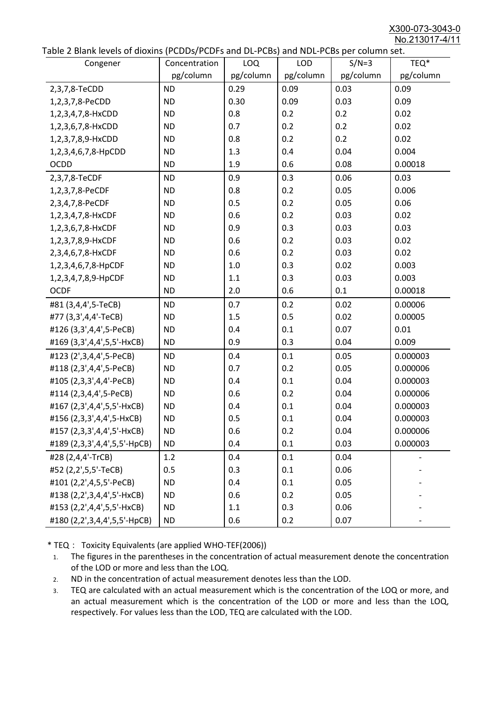X300-073-3043-0 No.213017-4/11

| abic 2 Diarik icveis of dioxins (I CDD3/TCDTs and DET CD3/ and NDET CD3 pcr column sett.<br>Congener | Concentration | <b>LOQ</b> | <b>LOD</b> | $S/N=3$   | TEQ*      |
|------------------------------------------------------------------------------------------------------|---------------|------------|------------|-----------|-----------|
|                                                                                                      | pg/column     | pg/column  | pg/column  | pg/column | pg/column |
| 2,3,7,8-TeCDD                                                                                        | <b>ND</b>     | 0.29       | 0.09       | 0.03      | 0.09      |
| 1,2,3,7,8-PeCDD                                                                                      | <b>ND</b>     | 0.30       | 0.09       | 0.03      | 0.09      |
| 1,2,3,4,7,8-HxCDD                                                                                    | <b>ND</b>     | 0.8        | 0.2        | 0.2       | 0.02      |
| 1,2,3,6,7,8-HxCDD                                                                                    | <b>ND</b>     | 0.7        | 0.2        | 0.2       | 0.02      |
| 1,2,3,7,8,9-HxCDD                                                                                    | <b>ND</b>     | 0.8        | 0.2        | 0.2       | 0.02      |
| 1,2,3,4,6,7,8-HpCDD                                                                                  | <b>ND</b>     | 1.3        | 0.4        | 0.04      | 0.004     |
| <b>OCDD</b>                                                                                          | <b>ND</b>     | 1.9        | 0.6        | 0.08      | 0.00018   |
| 2,3,7,8-TeCDF                                                                                        | <b>ND</b>     | 0.9        | 0.3        | 0.06      | 0.03      |
| 1,2,3,7,8-PeCDF                                                                                      | <b>ND</b>     | 0.8        | 0.2        | 0.05      | 0.006     |
| 2,3,4,7,8-PeCDF                                                                                      | <b>ND</b>     | 0.5        | 0.2        | 0.05      | 0.06      |
| 1,2,3,4,7,8-HxCDF                                                                                    | <b>ND</b>     | 0.6        | 0.2        | 0.03      | 0.02      |
| 1,2,3,6,7,8-HxCDF                                                                                    | <b>ND</b>     | 0.9        | 0.3        | 0.03      | 0.03      |
| 1,2,3,7,8,9-HxCDF                                                                                    | <b>ND</b>     | 0.6        | 0.2        | 0.03      | 0.02      |
| 2,3,4,6,7,8-HxCDF                                                                                    | <b>ND</b>     | 0.6        | 0.2        | 0.03      | 0.02      |
| 1,2,3,4,6,7,8-HpCDF                                                                                  | <b>ND</b>     | 1.0        | 0.3        | 0.02      | 0.003     |
| 1,2,3,4,7,8,9-HpCDF                                                                                  | <b>ND</b>     | 1.1        | 0.3        | 0.03      | 0.003     |
| <b>OCDF</b>                                                                                          | <b>ND</b>     | 2.0        | 0.6        | 0.1       | 0.00018   |
| #81 (3,4,4',5-TeCB)                                                                                  | <b>ND</b>     | 0.7        | 0.2        | 0.02      | 0.00006   |
| #77 (3,3',4,4'-TeCB)                                                                                 | <b>ND</b>     | 1.5        | 0.5        | 0.02      | 0.00005   |
| #126 (3,3',4,4',5-PeCB)                                                                              | <b>ND</b>     | 0.4        | 0.1        | 0.07      | 0.01      |
| #169 (3,3',4,4',5,5'-HxCB)                                                                           | <b>ND</b>     | 0.9        | 0.3        | 0.04      | 0.009     |
| #123 (2',3,4,4',5-PeCB)                                                                              | <b>ND</b>     | 0.4        | 0.1        | 0.05      | 0.000003  |
| #118 (2,3',4,4',5-PeCB)                                                                              | <b>ND</b>     | 0.7        | 0.2        | 0.05      | 0.000006  |
| #105 (2,3,3',4,4'-PeCB)                                                                              | <b>ND</b>     | 0.4        | 0.1        | 0.04      | 0.000003  |
| #114 (2,3,4,4',5-PeCB)                                                                               | <b>ND</b>     | 0.6        | 0.2        | 0.04      | 0.000006  |
| #167 (2,3',4,4',5,5'-HxCB)                                                                           | <b>ND</b>     | 0.4        | 0.1        | 0.04      | 0.000003  |
| #156 (2,3,3',4,4',5-HxCB)                                                                            | <b>ND</b>     | 0.5        | 0.1        | 0.04      | 0.000003  |
| #157 (2,3,3',4,4',5'-HxCB)                                                                           | <b>ND</b>     | 0.6        | 0.2        | 0.04      | 0.000006  |
| #189 (2,3,3',4,4',5,5'-HpCB)                                                                         | <b>ND</b>     | 0.4        | 0.1        | 0.03      | 0.000003  |
| #28 (2,4,4'-TrCB)                                                                                    | 1.2           | 0.4        | 0.1        | 0.04      |           |
| #52 (2,2',5,5'-TeCB)                                                                                 | 0.5           | 0.3        | 0.1        | 0.06      |           |
| #101 (2,2',4,5,5'-PeCB)                                                                              | <b>ND</b>     | 0.4        | 0.1        | 0.05      |           |
| #138 (2,2',3,4,4',5'-HxCB)                                                                           | <b>ND</b>     | 0.6        | 0.2        | 0.05      |           |
| #153 (2,2',4,4',5,5'-HxCB)                                                                           | <b>ND</b>     | 1.1        | 0.3        | 0.06      |           |
| #180 (2,2',3,4,4',5,5'-HpCB)                                                                         | <b>ND</b>     | 0.6        | 0.2        | 0.07      |           |

\* TEQ: Toxicity Equivalents (are applied WHO-TEF(2006))

- 1. The figures in the parentheses in the concentration of actual measurement denote the concentration of the LOD or more and less than the LOQ.
- 2. ND in the concentration of actual measurement denotes less than the LOD.
- 3. TEQ are calculated with an actual measurement which is the concentration of the LOQ or more, and an actual measurement which is the concentration of the LOD or more and less than the LOQ, respectively. For values less than the LOD, TEQ are calculated with the LOD.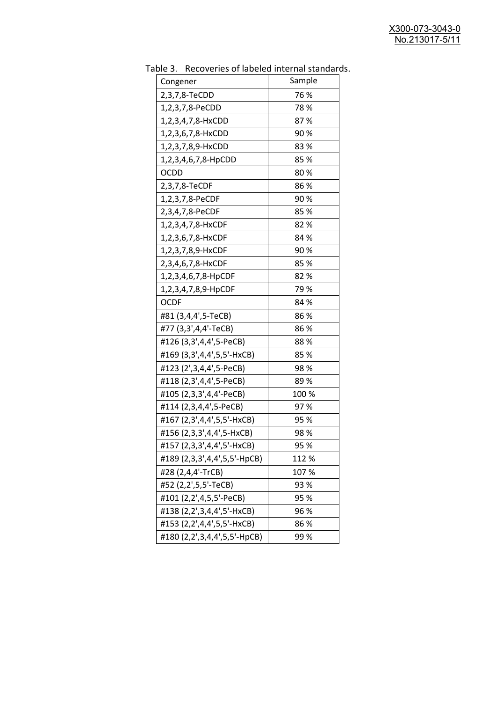| uwic J.<br><b>INCLUSION INTO THE MANUSCRY INTO THE STATISTICS</b><br>Congener | Sample |
|-------------------------------------------------------------------------------|--------|
| 2,3,7,8-TeCDD                                                                 | 76 %   |
| 1,2,3,7,8-PeCDD                                                               | 78 %   |
| 1,2,3,4,7,8-HxCDD                                                             | 87%    |
| 1,2,3,6,7,8-HxCDD                                                             | 90%    |
| 1,2,3,7,8,9-HxCDD                                                             | 83%    |
| 1,2,3,4,6,7,8-HpCDD                                                           | 85 %   |
| OCDD                                                                          | 80%    |
| 2,3,7,8-TeCDF                                                                 | 86%    |
| 1,2,3,7,8-PeCDF                                                               | 90%    |
| 2,3,4,7,8-PeCDF                                                               | 85%    |
| 1,2,3,4,7,8-HxCDF                                                             | 82 %   |
| 1,2,3,6,7,8-HxCDF                                                             | 84 %   |
| 1,2,3,7,8,9-HxCDF                                                             | 90%    |
| 2,3,4,6,7,8-HxCDF                                                             | 85%    |
| 1,2,3,4,6,7,8-HpCDF                                                           | 82%    |
| 1,2,3,4,7,8,9-HpCDF                                                           | 79 %   |
| <b>OCDF</b>                                                                   | 84 %   |
| #81 (3,4,4',5-TeCB)                                                           | 86%    |
| #77 (3,3',4,4'-TeCB)                                                          | 86%    |
| #126 (3,3',4,4',5-PeCB)                                                       | 88%    |
| #169 (3,3',4,4',5,5'-HxCB)                                                    | 85%    |
| #123 (2', 3, 4, 4', 5-PeCB)                                                   | 98%    |
| #118 (2,3',4,4',5-PeCB)                                                       | 89%    |
| #105 (2,3,3',4,4'-PeCB)                                                       | 100 %  |
| #114 (2,3,4,4',5-PeCB)                                                        | 97%    |
| #167 (2,3',4,4',5,5'-HxCB)                                                    | 95 %   |
| #156 (2,3,3',4,4',5-HxCB)                                                     | 98%    |
| #157 (2,3,3',4,4',5'-HxCB)                                                    | 95 %   |
| #189 (2,3,3',4,4',5,5'-HpCB)                                                  | 112 %  |
| #28 (2,4,4'-TrCB)                                                             | 107 %  |
| #52 (2,2',5,5'-TeCB)                                                          | 93 %   |
| #101 (2,2',4,5,5'-PeCB)                                                       | 95 %   |
| #138 (2,2',3,4,4',5'-HxCB)                                                    | 96 %   |
| #153 (2,2',4,4',5,5'-HxCB)                                                    | 86 %   |
| #180 (2,2',3,4,4',5,5'-HpCB)                                                  | 99%    |
|                                                                               |        |

Table 3. Recoveries of labeled internal standards.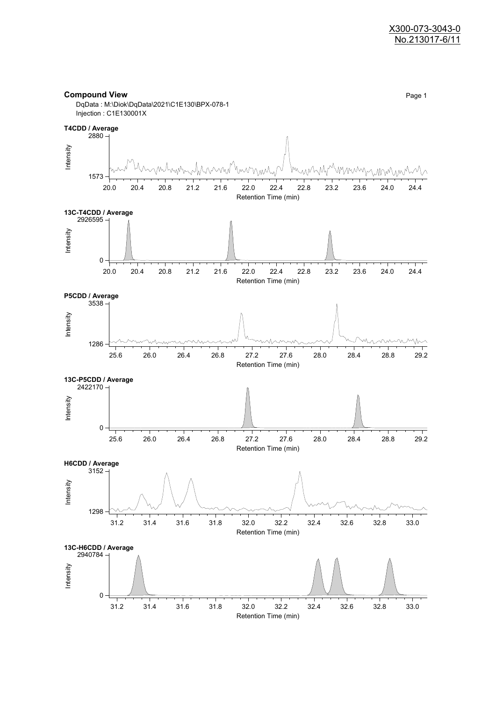#### **Compound View** Page 1 DqData : M:\Diok\DqData\2021\C1E130\BPX-078-1 Injection : C1E130001X

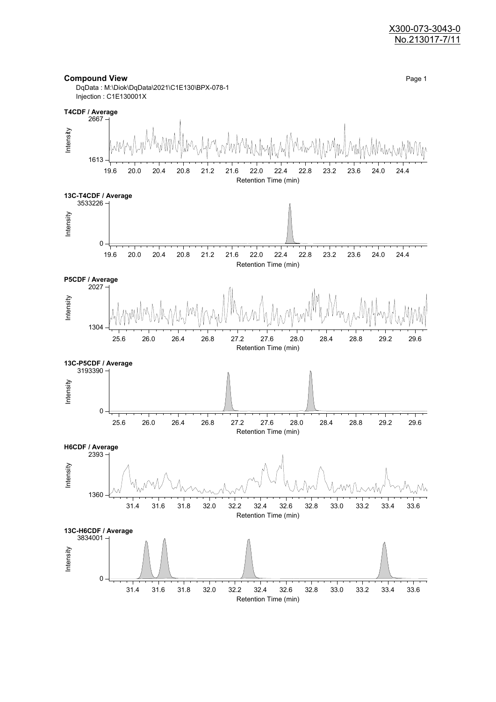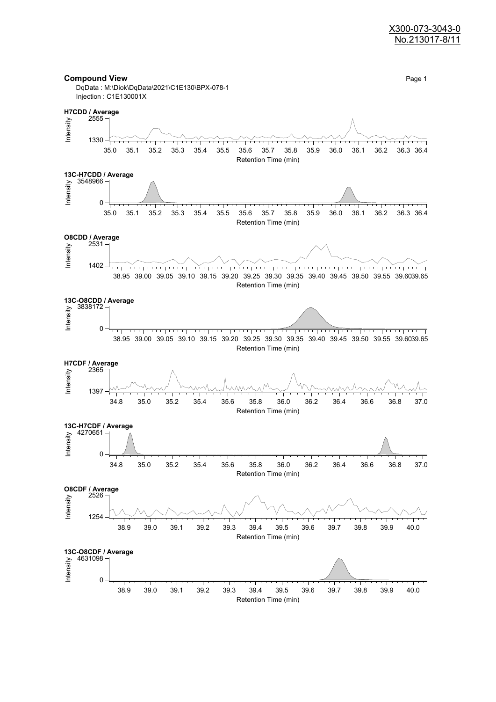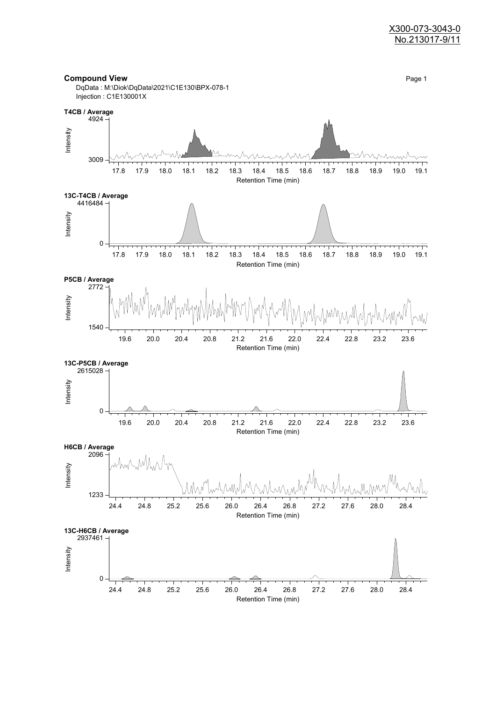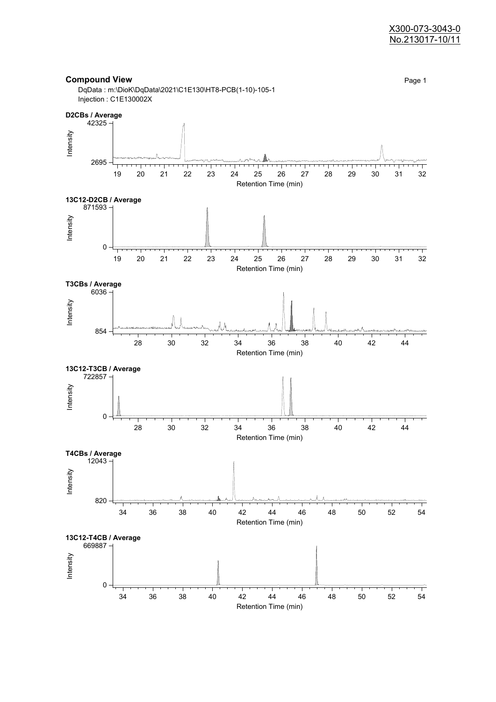